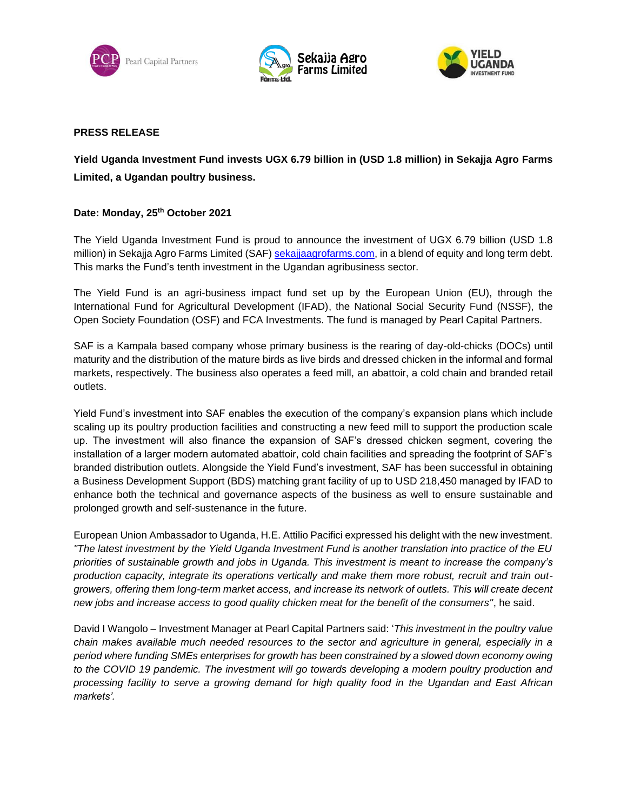





## **PRESS RELEASE**

## **Yield Uganda Investment Fund invests UGX 6.79 billion in (USD 1.8 million) in Sekajja Agro Farms Limited, a Ugandan poultry business.**

## **Date: Monday, 25th October 2021**

The Yield Uganda Investment Fund is proud to announce the investment of UGX 6.79 billion (USD 1.8 million) in Sekajja Agro Farms Limited (SAF) [sekajjaagrofarms.com,](http://www.sekajjaagrofarms.com/) in a blend of equity and long term debt. This marks the Fund's tenth investment in the Ugandan agribusiness sector.

The Yield Fund is an agri-business impact fund set up by the European Union (EU), through the International Fund for Agricultural Development (IFAD), the National Social Security Fund (NSSF), the Open Society Foundation (OSF) and FCA Investments. The fund is managed by Pearl Capital Partners.

SAF is a Kampala based company whose primary business is the rearing of day-old-chicks (DOCs) until maturity and the distribution of the mature birds as live birds and dressed chicken in the informal and formal markets, respectively. The business also operates a feed mill, an abattoir, a cold chain and branded retail outlets.

Yield Fund's investment into SAF enables the execution of the company's expansion plans which include scaling up its poultry production facilities and constructing a new feed mill to support the production scale up. The investment will also finance the expansion of SAF's dressed chicken segment, covering the installation of a larger modern automated abattoir, cold chain facilities and spreading the footprint of SAF's branded distribution outlets. Alongside the Yield Fund's investment, SAF has been successful in obtaining a Business Development Support (BDS) matching grant facility of up to USD 218,450 managed by IFAD to enhance both the technical and governance aspects of the business as well to ensure sustainable and prolonged growth and self-sustenance in the future.

European Union Ambassador to Uganda, H.E. Attilio Pacifici expressed his delight with the new investment. *"The latest investment by the Yield Uganda Investment Fund is another translation into practice of the EU priorities of sustainable growth and jobs in Uganda. This investment is meant to increase the company's production capacity, integrate its operations vertically and make them more robust, recruit and train outgrowers, offering them long-term market access, and increase its network of outlets. This will create decent new jobs and increase access to good quality chicken meat for the benefit of the consumers"*, he said.

David I Wangolo – Investment Manager at Pearl Capital Partners said: '*This investment in the poultry value chain makes available much needed resources to the sector and agriculture in general, especially in a period where funding SMEs enterprises for growth has been constrained by a slowed down economy owing to the COVID 19 pandemic. The investment will go towards developing a modern poultry production and processing facility to serve a growing demand for high quality food in the Ugandan and East African markets'.*